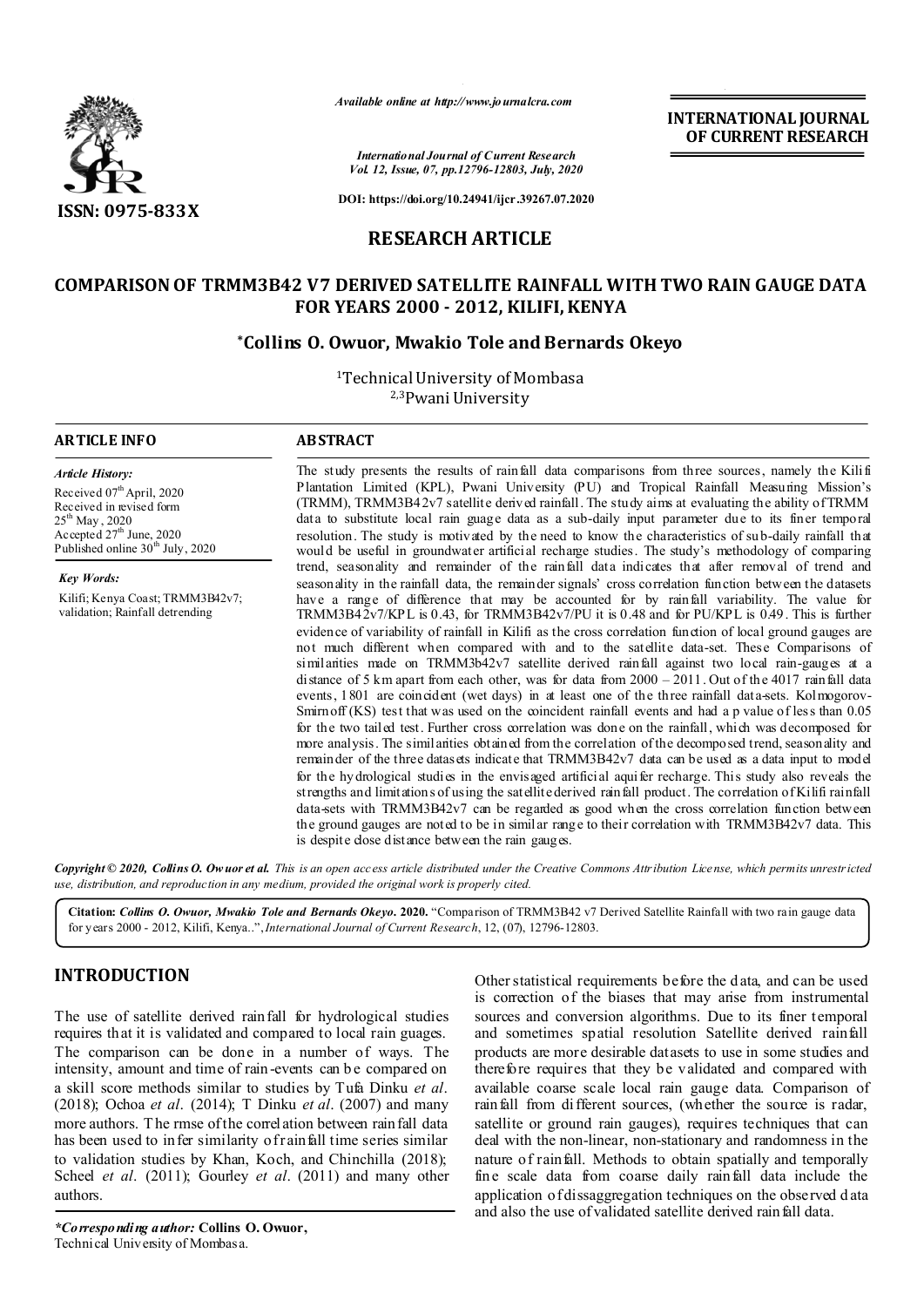

*Available online at http://www.journalcra.com*

*International Journal of Current Research Vol. 12, Issue, 07, pp.12796-12803, July, 2020* **OF CURRENT RESEARCH**

**INTERNATIONAL JOURNAL**

**DOI: https://doi.org/10.24941/ijcr.39267.07.2020**

# **RESEARCH ARTICLE**

# **COMPARISON OF TRMM3B42 V7 DERIVED SATELLITE RAINFALL WITH TWO RAIN GAUGE DATA FOR YEARS 2000 - 2012, KILIFI, KENYA**

### **\*Collins O. Owuor, Mwakio Tole and Bernards Okeyo**

1Technical University of Mombasa 2,3Pwani University

#### **ARTICLE INFO ABSTRACT**

*Article History: Article History:* Received 07<sup>th</sup> April, 2020 Received in revised form Received in revised form  $25^{\rm th}$  May , 2020 Accepted  $27<sup>th</sup>$  June, 2020 Published online  $30<sup>th</sup>$  July, 2020

*Key Words: Key Words:* Kilifi; Kenya Coast; TRMM3B42v7; validation; Rainfall detrending

The study presents the results of rainfall data comparisons from three sources, namely the Kilifi Plantation Limited (KPL), Pwani University (PU) and Tropical Rainfall Measuring Mission's (TRMM), TRMM3B $42v7$  satellite derived rainfall. The study aims at evaluating the ability of TRMM data to substitute local rain guage data as a sub-daily input parameter due to its finer temporal resolution. The study is motivated by the need to know the characteristics of sub-daily rainfall that would be useful in groundwater artificial recharge studies. The study's methodology of comparing trend, seasonality and remainder of the rainfall data indicates that after removal of trend and seasonality in the rainfall data, the remainder signals' cross correlation function between the datasets have a range of difference that may be accounted for by rainfall variability. The value for TRMM3B42v7/KPL is 0.43, for TRMM3B42v7/PU it is 0.48 and for PU/KPL is 0.49. This is further evidence of variability of rainfall in Kilifi as the cross correlation function of local ground gauges are not much different when compared with and to the satellite data-set. These Comparisons of similarities made on TRMM3b42v7 satellite derived rainfall against two local rain-gauges at a distance of 5 km apart from each other, was for data from  $2000 - 2011$ . Out of the 4017 rainfall data events, 1801 are coincident (wet days) in at least one of the three rainfall data-sets. Kolmogorov-Smirnoff (KS) test that was used on the coincident rainfall events and had a p value of less than 0.05 for the two tailed test. Further cross correlation was done on the rainfall, which was decomposed for more analysis. The similarities obtained from the correlation of the decomposed trend, seasonality and remainder of the three datasets indicate that TRMM3B42v7 data can be used as a data input to model for the hydrological studies in the envisaged artificial aquifer recharge. This study also reveals the strengths and limitations of using the satellite derived rainfall product. The correlation of Kilifi rainfall data-sets with TRMM3B42v7 can be regarded as good when the cross correlation function between the ground gauges are noted to be in similar range to their correlation with TRMM3B42v7 data. This is despite dose distance between the rain gauges.

Copyright © 2020, Collins O. Ow uor et al. This is an open access article distributed under the Creative Commons Attribution License, which permits unrestricted *use, distribution, and reproduction in any medium, provided the original work is properly cited.*

**Citation:** *Collins O. Owuor, Mwakio Tole and Bernards Okeyo.* **2020.** "Comparison of TRMM3B42 v7 Derived Satellite Rainfall with two rain gauge data for years 2000 - 2012, Kilifi, Kenya..",*International Journal of Current Research*, 12, (07), 12796-12803.

# **INTRODUCTION**

The use of satellite derived rainfall for hydrological studies requires that it is validated and compared to local rain guages. The comparison can be done in a number of ways. The intensity, amount and time of rain-events can be compared on a skill score methods similar to studies by Tufa Dinku *et al*. (2018); Ochoa *et al*. (2014); T Dinku *et al*. (2007) and many more authors. T he rmse of the correlation between rainfall data has been used to infer similarity of rainfall time series similar to validation studies by Khan, Koch, and Chinchilla (2018); Scheel *et al*. (2011); Gourley *et al*. (2011) and many other authors.

Other statistical requirements before the d ata, and can be used is correction of the biases that may arise from instrumental sources and conversion algorithms. Due to its finer temporal and sometimes spatial resolution Satellite derived rainfall products are more desirable datasets to use in some studies and therefore requires that they be validated and compared with available coarse scale local rain gauge data. Comparison of rainfall from different sources, (whether the source is radar, satellite or ground rain gauges), requires techniques that can deal with the non-linear, non-stationary and randomness in the nature of rainfall. Methods to obtain spatially and temporally fine scale data from coarse daily rainfall data include the application of dissaggregation techniques on the observed d ata and also the use of validated satellite derived rainfall data.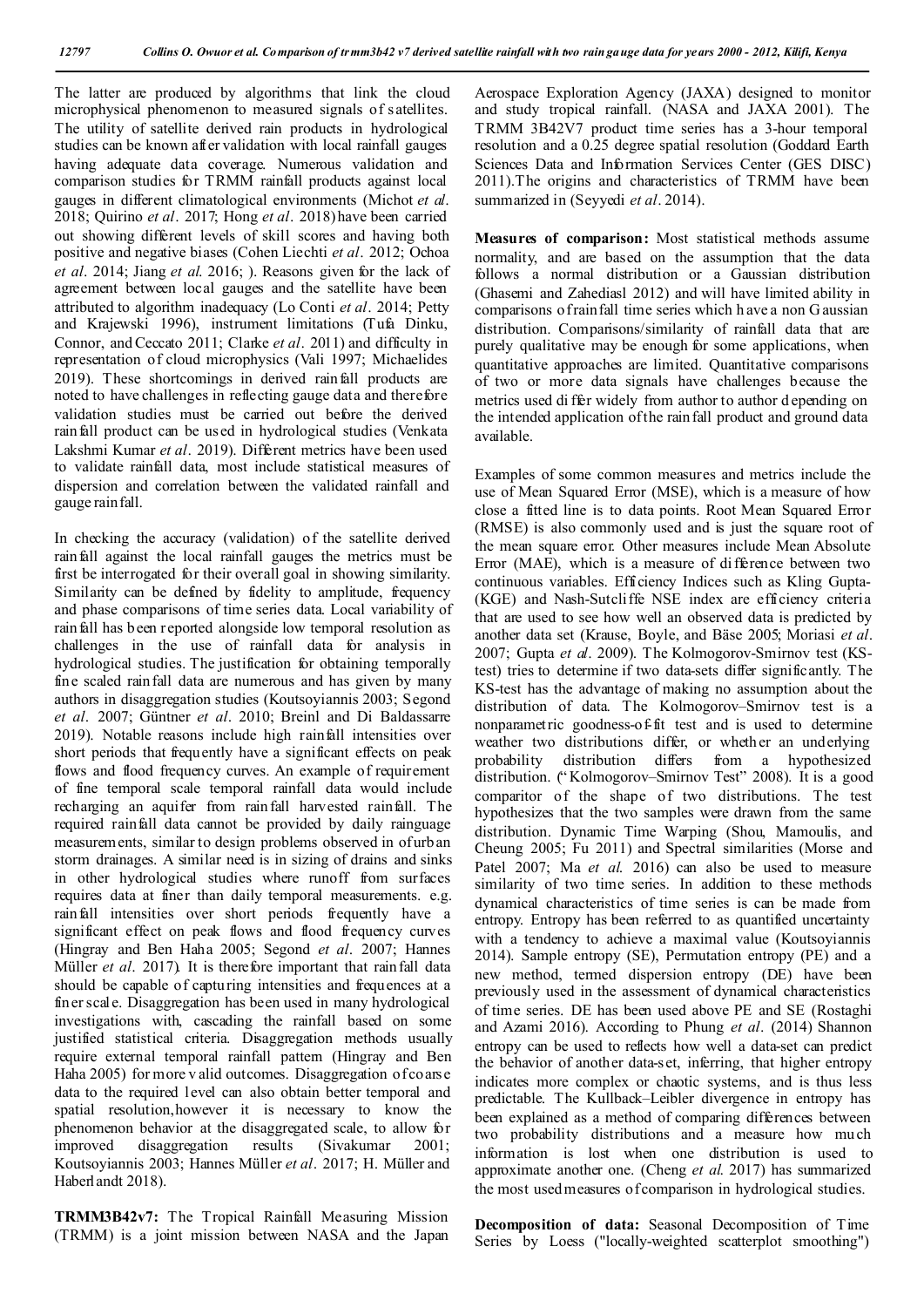The latter are produced by algorithms that link the cloud microphysical phenomenon to measured signals of satellites. The utility of satellite derived rain products in hydrological studies can be known after validation with local rainfall gauges having adequate data coverage. Numerous validation and comparison studies for TRMM rainfall products against local gauges in different climatological environments (Michot *et al*. 2018; Quirino *et al*. 2017; Hong *et al*. 2018) have been carried out showing different levels of skill scores and having both positive and negative biases (Cohen Liechti *et al*. 2012; Ochoa *et al*. 2014; Jiang *et al*. 2016; ). Reasons given for the lack of agreement between local gauges and the satellite have been attributed to algorithm inadequacy (Lo Conti *et al*. 2014; Petty and Krajewski 1996), instrument limitations (Tufa Dinku, Connor, and Ceccato 2011; Clarke *et al*. 2011) and difficulty in representation of cloud microphysics (Vali 1997; Michaelides 2019). These shortcomings in derived rainfall products are noted to have challenges in reflecting gauge data and therefore validation studies must be carried out before the derived rainfall product can be used in hydrological studies (Venkata Lakshmi Kumar *et al*. 2019). Different metrics have been used to validate rainfall data, most include statistical measures of dispersion and correlation between the validated rainfall and gauge rainfall.

In checking the accuracy (validation) of the satellite derived rainfall against the local rainfall gauges the metrics must be first be interrogated for their overall goal in showing similarity. Similarity can be defined by fidelity to amplitude, frequency and phase comparisons of time series data. Local variability of rainfall has been reported alongside low temporal resolution as challenges in the use of rainfall data for analysis in hydrological studies. The justification for obtaining temporally fine scaled rainfall data are numerous and has given by many authors in disaggregation studies (Koutsoyiannis 2003; Segond *et al*. 2007; Güntner *et al*. 2010; Breinl and Di Baldassarre 2019). Notable reasons include high rainfall intensities over short periods that frequently have a significant effects on peak flows and flood frequency curves. An example of requirement of fine temporal scale temporal rainfall data would include recharging an aquifer from rainfall harvested rainfall. The required rainfall data cannot be provided by daily rainguage measurements, similar to design problems observed in of urban storm drainages. A similar need is in sizing of drains and sinks in other hydrological studies where runoff from surfaces requires data at finer than daily temporal measurements. e.g. rainfall intensities over short periods frequently have a significant effect on peak flows and flood frequency curves (Hingray and Ben Haha 2005; Segond *et al*. 2007; Hannes Müller *et al*. 2017). It is therefore important that rainfall data should be capable of capturing intensities and frequences at a finer scale. Disaggregation has been used in many hydrological investigations with, cascading the rainfall based on some justified statistical criteria. Disaggregation methods usually require external temporal rainfall pattern (Hingray and Ben Haha 2005) for more v alid outcomes. Disaggregation of coarse data to the required level can also obtain better temporal and spatial resolution,however it is necessary to know the phenomenon behavior at the disaggregated scale, to allow for improved disaggregation results (Sivakumar 2001; Koutsoyiannis 2003; Hannes Müller *et al*. 2017; H. Müller and Haberlandt 2018).

**TRMM3B42v7:** The Tropical Rainfall Measuring Mission (TRMM) is a joint mission between NASA and the Japan Aerospace Exploration Agency (JAXA) designed to monitor and study tropical rainfall. (NASA and JAXA 2001). The TRMM 3B42V7 product time series has a 3-hour temporal resolution and a 0.25 degree spatial resolution (Goddard Earth Sciences Data and Information Services Center (GES DISC) 2011).The origins and characteristics of TRMM have been summarized in (Seyyedi *et al*. 2014).

**Measures of comparison:** Most statistical methods assume normality, and are based on the assumption that the data follows a normal distribution or a Gaussian distribution (Ghasemi and Zahediasl 2012) and will have limited ability in comparisons of rainfall time series which h ave a non G aussian distribution. Comparisons/similarity of rainfall data that are purely qualitative may be enough for some applications, when quantitative approaches are limited. Quantitative comparisons of two or more data signals have challenges because the metrics used di ffer widely from author to author d epending on the intended application of the rainfall product and ground data available.

Examples of some common measures and metrics include the use of Mean Squared Error (MSE), which is a measure of how close a fitted line is to data points. Root Mean Squared Error (RMSE) is also commonly used and is just the square root of the mean square error. Other measures include Mean Absolute Error (MAE), which is a measure of difference between two continuous variables. Efficiency Indices such as Kling Gupta- (KGE) and Nash-Sutcliffe NSE index are efficiency criteria that are used to see how well an observed data is predicted by another data set (Krause, Boyle, and Bäse 2005; Moriasi *et al*. 2007; Gupta *et al*. 2009). The Kolmogorov-Smirnov test (KStest) tries to determine if two data-sets differ significantly. The KS-test has the advantage of making no assumption about the distribution of data. The Kolmogorov–Smirnov test is a nonparametric goodness-of-fit test and is used to determine weather two distributions differ, or whether an underlying probability distribution differs from a hypothesized distribution. (" Kolmogorov–Smirnov Test" 2008). It is a good comparitor of the shape of two distributions. The test hypothesizes that the two samples were drawn from the same distribution. Dynamic Time Warping (Shou, Mamoulis, and Cheung 2005; Fu 2011) and Spectral similarities (Morse and Patel 2007; Ma *et al*. 2016) can also be used to measure similarity of two time series. In addition to these methods dynamical characteristics of time series is can be made from entropy. Entropy has been referred to as quantified uncertainty with a tendency to achieve a maximal value (Koutsoyiannis 2014). Sample entropy (SE), Permutation entropy (PE) and a new method, termed dispersion entropy (DE) have been previously used in the assessment of dynamical characteristics of time series. DE has been used above PE and SE (Rostaghi and Azami 2016). According to Phung *et al*. (2014) Shannon entropy can be used to reflects how well a data-set can predict the behavior of another data-set, inferring, that higher entropy indicates more complex or chaotic systems, and is thus less predictable. The Kullback–Leibler divergence in entropy has been explained as a method of comparing differences between two probability distributions and a measure how much information is lost when one distribution is used to approximate another one. (Cheng *et al*. 2017) has summarized the most used measures of comparison in hydrological studies.

**Decomposition of data:** Seasonal Decomposition of Time Series by Loess ("locally-weighted scatterplot smoothing")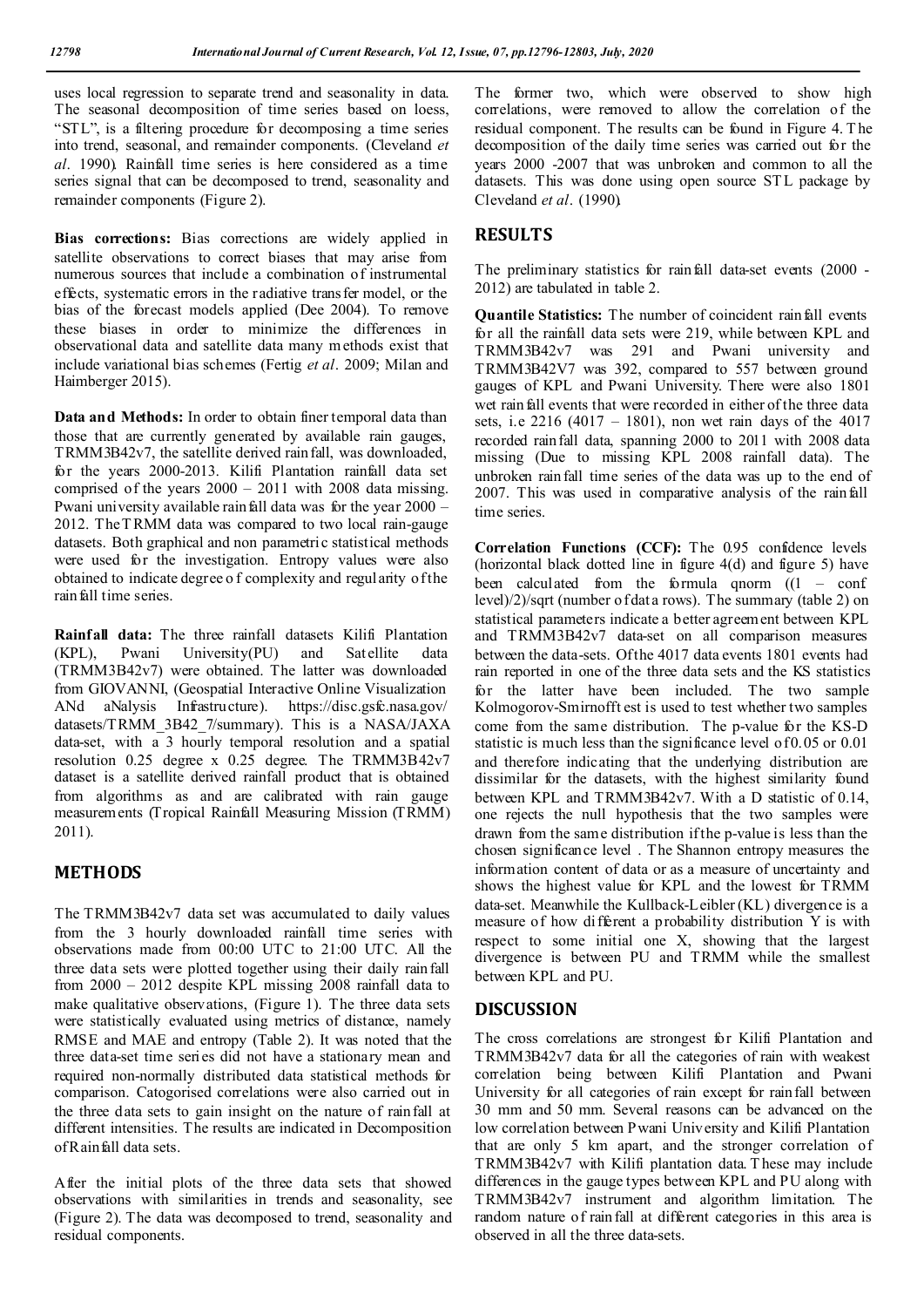uses local regression to separate trend and seasonality in data. The seasonal decomposition of time series based on loess, "STL", is a filtering procedure for decomposing a time series into trend, seasonal, and remainder components. (Cleveland *et al*. 1990). Rainfall time series is here considered as a time series signal that can be decomposed to trend, seasonality and remainder components (Figure 2).

**Bias corrections:** Bias corrections are widely applied in satellite observations to correct biases that may arise from numerous sources that include a combination of instrumental effects, systematic errors in the radiative transfer model, or the bias of the forecast models applied (Dee 2004). To remove these biases in order to minimize the differences in observational data and satellite data many methods exist that include variational bias schemes (Fertig *et al*. 2009; Milan and Haimberger 2015).

**Data and Methods:** In order to obtain finer temporal data than those that are currently generated by available rain gauges, TRMM3B42v7, the satellite derived rainfall, was downloaded, for the years 2000-2013. Kilifi Plantation rainfall data set comprised of the years 2000 – 2011 with 2008 data missing. Pwani university available rain fall data was for the year  $2000 -$ 2012. The T RMM data was compared to two local rain-gauge datasets. Both graphical and non parametric statistical methods were used for the investigation. Entropy values were also obtained to indicate degree o f complexity and regularity of the rain fall time series.

**Rainfall data:** The three rainfall datasets Kilifi Plantation (KPL), Pwani University(PU) and Satellite data (TRMM3B42v7) were obtained. The latter was downloaded from GIOVANNI, (Geospatial Interactive Online Visualization ANd aNalysis Infrastructure). https://disc.gsfc.nasa.gov/ datasets/TRMM\_3B42\_7/summary). This is a NASA/JAXA data-set, with  $a<sup>3</sup>$  hourly temporal resolution and a spatial resolution 0.25 degree x 0.25 degree. The TRMM3B42v7 dataset is a satellite derived rainfall product that is obtained from algorithms as and are calibrated with rain gauge measurements (Tropical Rainfall Measuring Mission (TRMM) 2011).

## **METHODS**

The TRMM3B42v7 data set was accumulated to daily values from the 3 hourly downloaded rainfall time series with observations made from 00:00 UTC to 21:00 UTC. All the three data sets were plotted together using their daily rainfall from 2000 – 2012 despite KPL missing 2008 rainfall data to make qualitative observations, (Figure 1). The three data sets were statistically evaluated using metrics of distance, namely RMSE and MAE and entropy (Table 2). It was noted that the three data-set time series did not have a stationary mean and required non-normally distributed data statistical methods for comparison. Catogorised correlations were also carried out in the three data sets to gain insight on the nature of rainfall at different intensities. The results are indicated in Decomposition of Rainfall data sets.

After the initial plots of the three data sets that showed observations with similarities in trends and seasonality, see (Figure 2). The data was decomposed to trend, seasonality and residual components.

The former two, which were observed to show high correlations, were removed to allow the correlation of the residual component. The results can be found in Figure 4. T he decomposition of the daily time series was carried out for the years 2000 -2007 that was unbroken and common to all the datasets. This was done using open source STL package by Cleveland *et al*. (1990).

## **RESULTS**

The preliminary statistics for rainfall data-set events (2000 -2012) are tabulated in table 2.

**Quantile Statistics:** The number of coincident rainfall events for all the rainfall data sets were 219, while between KPL and TRMM3B42v7 was 291 and Pwani university and TRMM3B42V7 was 392, compared to 557 between ground gauges of KPL and Pwani University. There were also 1801 wet rainfall events that were recorded in either of the three data sets, i.e  $2216 (4017 - 1801)$ , non wet rain days of the 4017 recorded rainfall data, spanning 2000 to 2011 with 2008 data missing (Due to missing KPL 2008 rainfall data). The unbroken rainfall time series of the data was up to the end of 2007. This was used in comparative analysis of the rainfall time series.

**Correlation Functions (CCF):** The 0.95 confidence levels (horizontal black dotted line in figure 4(d) and figure 5) have been calculated from the formula qnorm  $(1 - \text{conf})$ level)/2)/sqrt (number of dat a rows). The summary (table 2) on statistical parameters indicate a better agreement between KPL and TRMM3B42v7 data-set on all comparison measures between the data-sets. Of the 4017 data events 1801 events had rain reported in one of the three data sets and the KS statistics for the latter have been included. The two sample Kolmogorov-Smirnofft est is used to test whether two samples come from the same distribution. The p-value for the KS-D statistic is much less than the significance level of 0.05 or 0.01 and therefore indicating that the underlying distribution are dissimilar for the datasets, with the highest similarity found between KPL and TRMM3B42v7. With a D statistic of 0.14, one rejects the null hypothesis that the two samples were drawn from the same distribution if the p-value is less than the chosen significance level . The Shannon entropy measures the information content of data or as a measure of uncertainty and shows the highest value for KPL and the lowest for TRMM data-set. Meanwhile the Kullback-Leibler (KL) divergence is a measure of how different a probability distribution Y is with respect to some initial one X, showing that the largest divergence is between PU and TRMM while the smallest between KPL and PU.

## **DISCUSSION**

The cross correlations are strongest for Kilifi Plantation and TRMM3B42v7 data for all the categories of rain with weakest correlation being between Kilifi Plantation and Pwani University for all categories of rain except for rainfall between 30 mm and 50 mm. Several reasons can be advanced on the low correlation between Pwani University and Kilifi Plantation that are only 5 km apart, and the stronger correlation of TRMM3B42v7 with Kilifi plantation data. T hese may include differences in the gauge types between KPL and PU along with TRMM3B42v7 instrument and algorithm limitation. The random nature of rainfall at different categories in this area is observed in all the three data-sets.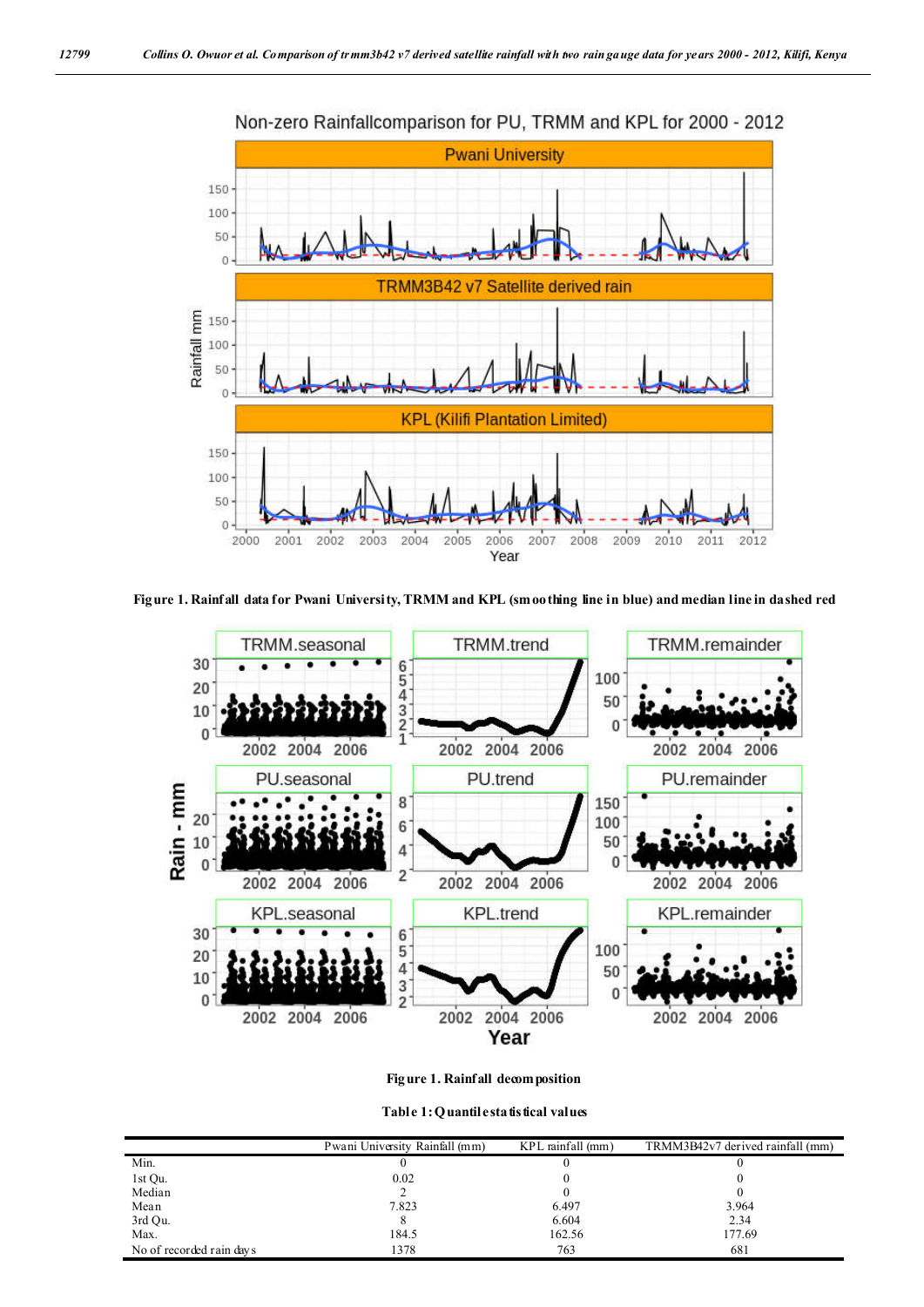

**Figure 1. Rainfall data for Pwani University, TRMM and KPL (smoothing line in blue) and median line in dashed red**



**Figure 1. Rainfall decomposition**

**Table 1: Quantile statistical values**

|                          | Pwani University Rainfall (mm) | $KPL$ rainfall $(mm)$ | TRMM3B42v7 derived rainfall (mm) |
|--------------------------|--------------------------------|-----------------------|----------------------------------|
| Min.                     |                                |                       |                                  |
| 1st Qu.                  | 0.02                           |                       |                                  |
| Median                   |                                |                       |                                  |
| Mean                     | 7.823                          | 6.497                 | 3.964                            |
| 3rd Qu.                  |                                | 6.604                 | 2.34                             |
| Max.                     | 184.5                          | 162.56                | 177.69                           |
| No of recorded rain days | 1378                           | 763                   | 681                              |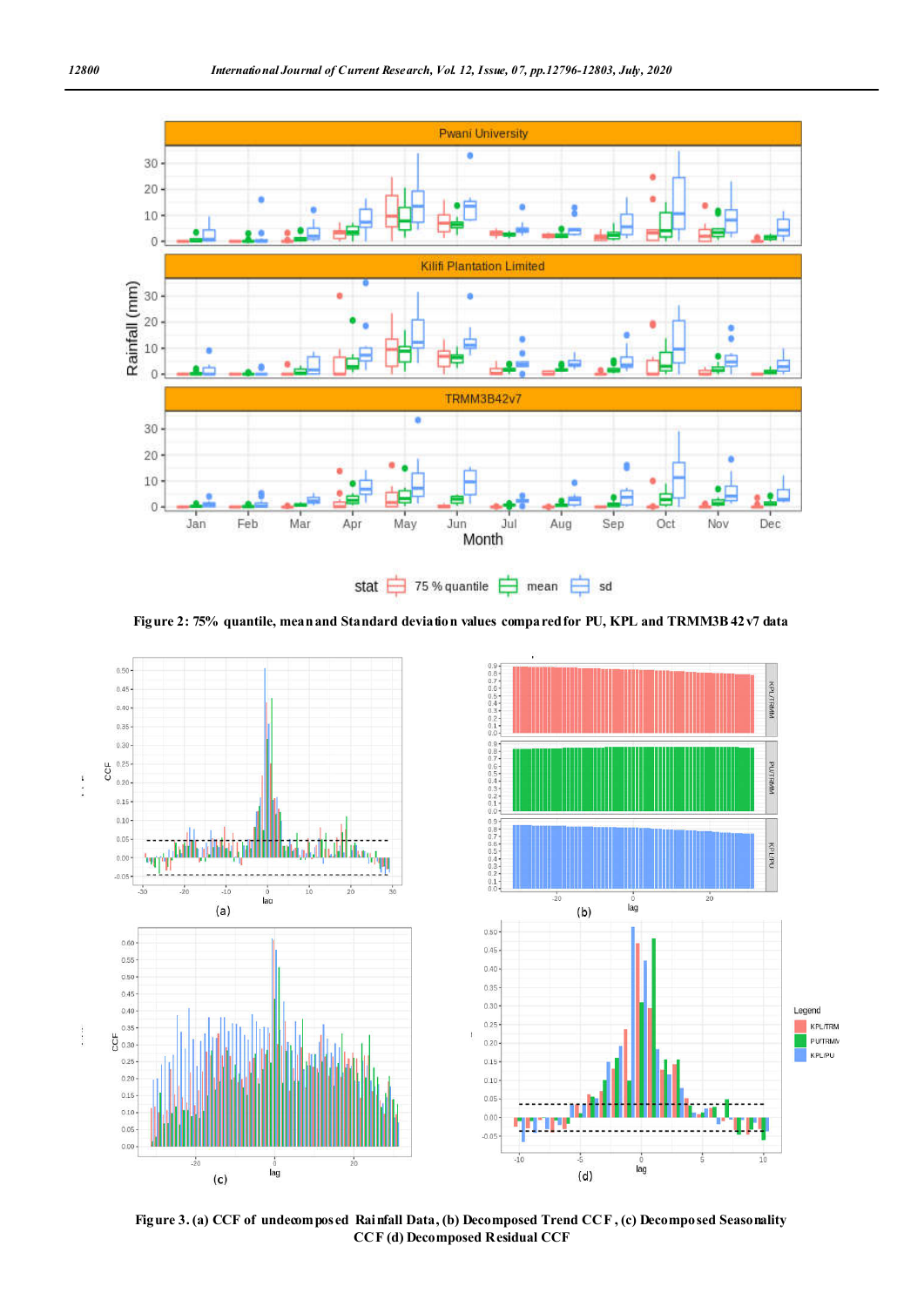

**Figure 2: 75% quantile, mean and Standard deviation values compared for PU, KPL and TRMM3B 42v7 data**



**Figure 3. (a) CCF of undecomposed Rainfall Data, (b) Decomposed Trend CCF , (c) Decomposed Seasonality CCF (d) Decomposed Residual CCF**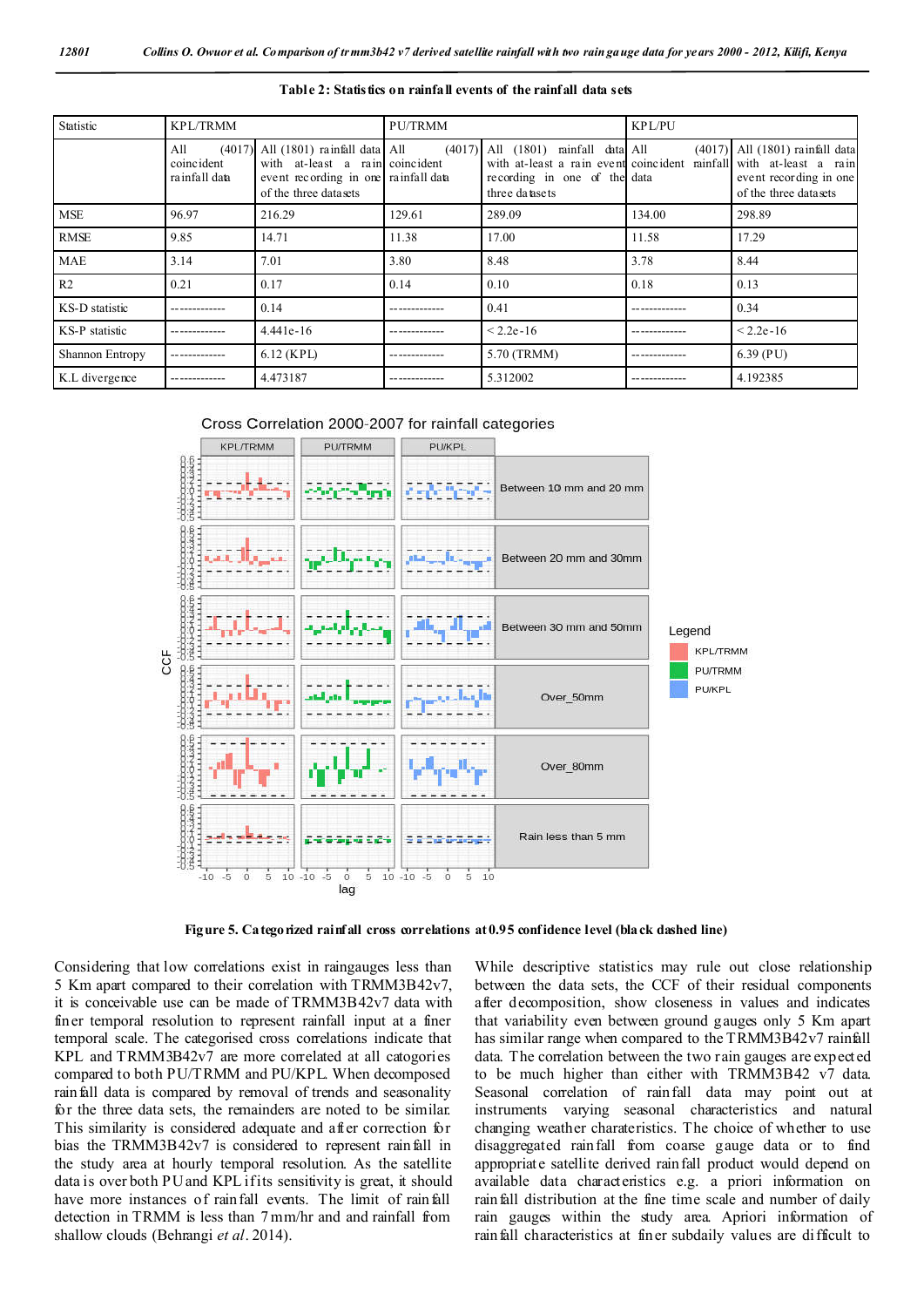| Statistic       | <b>KPL/TRMM</b>                    |                                                                                                                                             | <b>PU/TRMM</b> |                                                                                                                                    | <b>KPL/PU</b> |                                                                                                                     |
|-----------------|------------------------------------|---------------------------------------------------------------------------------------------------------------------------------------------|----------------|------------------------------------------------------------------------------------------------------------------------------------|---------------|---------------------------------------------------------------------------------------------------------------------|
|                 | All<br>coincident<br>rainfall data | $(4017)$ All $(1801)$ rainfall data All<br>with at-least a rain coincident<br>event recording in one rainfall data<br>of the three datasets |                | $(4017)$ All $(1801)$ rainfall data All<br>with at-least a rain event coincident<br>recording in one of the data<br>three datasets |               | (4017) All (1801) rainfall data<br>rainfall with at-least a rain<br>event recording in one<br>of the three datasets |
| <b>MSE</b>      | 96.97                              | 216.29                                                                                                                                      | 129.61         | 289.09                                                                                                                             | 134.00        | 298.89                                                                                                              |
| <b>RMSE</b>     | 9.85                               | 14.71                                                                                                                                       | 11.38          | 17.00                                                                                                                              | 11.58         | 17.29                                                                                                               |
| <b>MAE</b>      | 3.14                               | 7.01                                                                                                                                        | 3.80           | 8.48                                                                                                                               | 3.78          | 8.44                                                                                                                |
| R <sub>2</sub>  | 0.21                               | 0.17                                                                                                                                        | 0.14           | 0.10                                                                                                                               | 0.18          | 0.13                                                                                                                |
| KS-D statistic  |                                    | 0.14                                                                                                                                        |                | 0.41                                                                                                                               |               | 0.34                                                                                                                |
| KS-P statistic  |                                    | $4.441e-16$                                                                                                                                 |                | $< 2.2e-16$                                                                                                                        |               | $< 2.2e - 16$                                                                                                       |
| Shannon Entropy |                                    | $6.12$ (KPL)                                                                                                                                |                | 5.70 (TRMM)                                                                                                                        |               | $6.39$ (PU)                                                                                                         |
| K.L divergence  |                                    | 4.473187                                                                                                                                    |                | 5.312002                                                                                                                           |               | 4.192385                                                                                                            |

**Table 2: Statistics on rainfall events of the rainfall data sets**





**Figure 5. Categorized rainfall cross correlations at 0.95 confidence level (black dashed line)**

Considering that low correlations exist in raingauges less than 5 Km apart compared to their correlation with TRMM3B42v7, it is conceivable use can be made of TRMM3B42v7 data with finer temporal resolution to represent rainfall input at a finer temporal scale. The categorised cross correlations indicate that KPL and TRMM3B42v7 are more correlated at all catogories compared to both PU/TRMM and PU/KPL. When decomposed rainfall data is compared by removal of trends and seasonality for the three data sets, the remainders are noted to be similar. This similarity is considered adequate and after correction for bias the TRMM3B42v7 is considered to represent rainfall in the study area at hourly temporal resolution. As the satellite data is over both PU and KPL if its sensitivity is great, it should have more instances of rainfall events. The limit of rainfall detection in TRMM is less than 7 mm/hr and and rainfall from shallow clouds (Behrangi *et al*. 2014).

While descriptive statistics may rule out close relationship between the data sets, the CCF of their residual components after decomposition, show closeness in values and indicates that variability even between ground gauges only 5 Km apart has similar range when compared to the TRMM3B42v7 rainfall data. The correlation between the two rain gauges are expected to be much higher than either with TRMM3B42 v7 data. Seasonal correlation of rainfall data may point out at instruments varying seasonal characteristics and natural changing weather charateristics. The choice of whether to use disaggregated rainfall from coarse gauge data or to find appropriate satellite derived rainfall product would depend on available data characteristics e.g. a priori information on rainfall distribution at the fine time scale and number of daily rain gauges within the study area. Apriori information of rainfall characteristics at finer subdaily values are difficult to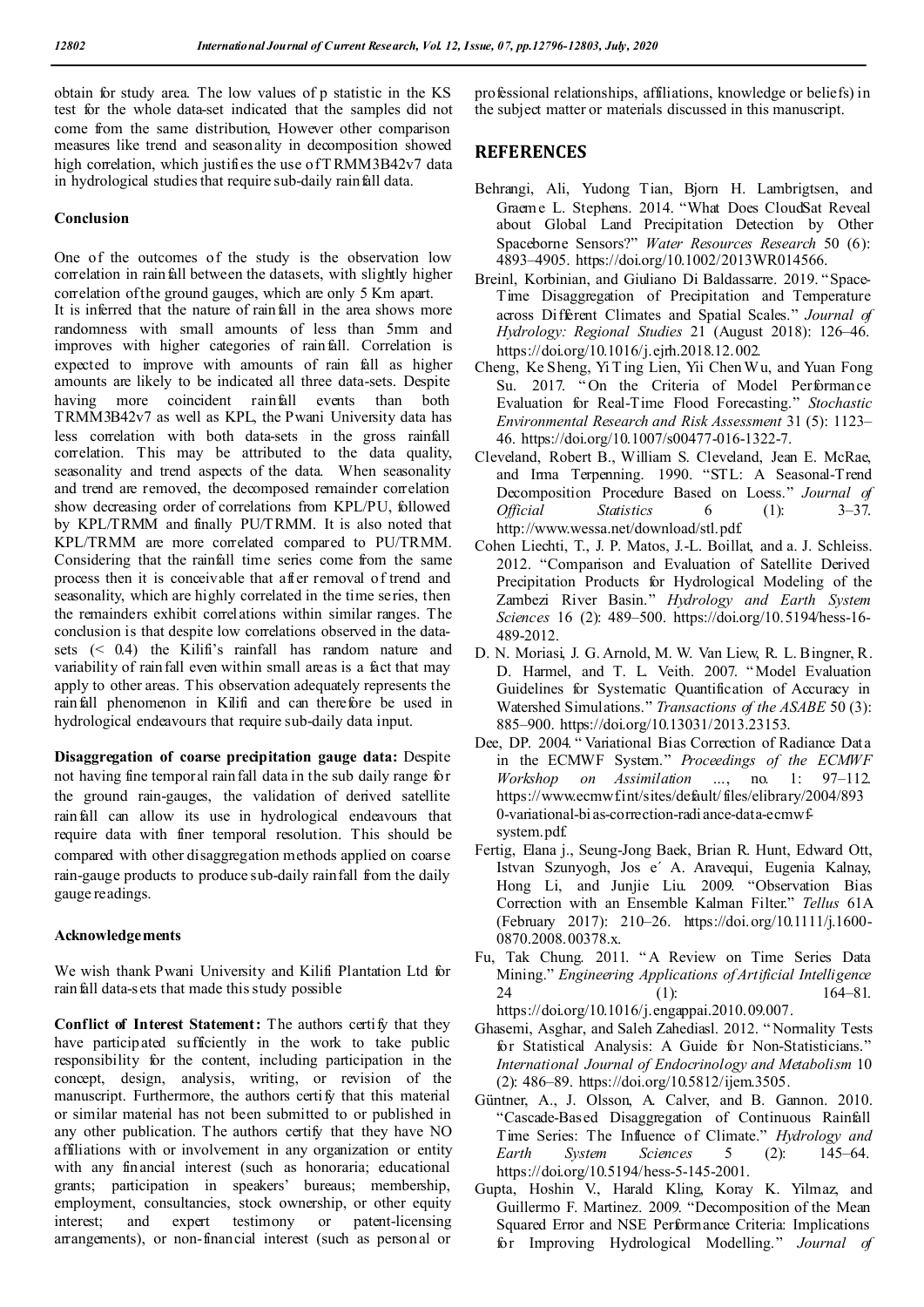obtain for study area. The low values of p statistic in the KS test for the whole data-set indicated that the samples did not come from the same distribution, However other comparison measures like trend and seasonality in decomposition showed high correlation, which justifies the use of TRMM3B42v7 data in hydrological studies that require sub-daily rainfall data.

#### **Conclusion**

One of the outcomes of the study is the observation low correlation in rainfall between the datasets, with slightly higher correlation of the ground gauges, which are only 5 Km apart. It is inferred that the nature of rainfall in the area shows more randomness with small amounts of less than 5mm and improves with higher categories of rainfall. Correlation is expected to improve with amounts of rain fall as higher amounts are likely to be indicated all three data-sets. Despite having more coincident rainfall events than both TRMM3B42v7 as well as KPL, the Pwani University data has less correlation with both data-sets in the gross rainfall correlation. This may be attributed to the data quality, seasonality and trend aspects of the data. When seasonality and trend are removed, the decomposed remainder correlation show decreasing order of correlations from KPL/PU, followed by KPL/TRMM and finally PU/TRMM. It is also noted that KPL/TRMM are more correlated compared to PU/TRMM. Considering that the rainfall time series come from the same process then it is conceivable that after removal of trend and seasonality, which are highly correlated in the time series, then the remainders exhibit correlations within similar ranges. The conclusion is that despite low correlations observed in the datasets (< 0.4) the Kilifi's rainfall has random nature and variability of rainfall even within small areas is a fact that may apply to other areas. This observation adequately represents the rainfall phenomenon in Kilifi and can therefore be used in hydrological endeavours that require sub-daily data input.

**Disaggregation of coarse precipitation gauge data:** Despite not having fine temporal rainfall data in the sub daily range for the ground rain-gauges, the validation of derived satellite rainfall can allow its use in hydrological endeavours that require data with finer temporal resolution. This should be compared with other disaggregation methods applied on coarse rain-gauge products to produce sub-daily rainfall from the daily gauge readings.

#### **Acknowledgements**

We wish thank Pwani University and Kilifi Plantation Ltd for rain fall data-sets that made this study possible

Conflict of Interest Statement: The authors certify that they have participated sufficiently in the work to take public responsibility for the content, including participation in the concept, design, analysis, writing, or revision of the manuscript. Furthermore, the authors certify that this material or similar material has not been submitted to or published in any other publication. The authors certify that they have NO affiliations with or involvement in any organization or entity with any financial interest (such as honoraria; educational grants; participation in speakers' bureaus; membership, employment, consultancies, stock ownership, or other equity interest; and expert testimony or patent-licensing arrangements), or non-financial interest (such as personal or

professional relationships, affiliations, knowledge or beliefs) in the subject matter or materials discussed in this manuscript.

#### **REFERENCES**

- Behrangi, Ali, Yudong Tian, Bjorn H. Lambrigtsen, and Graeme L. Stephens. 2014. "What Does CloudSat Reveal about Global Land Precipitation Detection by Other Spaceborne Sensors?" *Water Resources Research* 50 (6): 4893–4905. https://doi.org/10.1002/2013WR014566.
- Breinl, Korbinian, and Giuliano Di Baldassarre. 2019. "Space-Time Disaggregation of Precipitation and Temperature across Different Climates and Spatial Scales." *Journal of Hydrology: Regional Studies* 21 (August 2018): 126–46. https://doi.org/10.1016/j.ejrh.2018.12.002.
- Cheng, Ke Sheng, Yi T ing Lien, Yii Chen Wu, and Yuan Fong Su. 2017. "On the Criteria of Model Performance Evaluation for Real-Time Flood Forecasting." *Stochastic Environmental Research and Risk Assessment* 31 (5): 1123– 46. https://doi.org/10.1007/s00477-016-1322-7.
- Cleveland, Robert B., William S. Cleveland, Jean E. McRae, and Irma Terpenning. 1990. "STL: A Seasonal-Trend Decomposition Procedure Based on Loess." *Journal of Statistics* 6 (1): 3–37. http://www.wessa.net/download/stl.pdf.
- Cohen Liechti, T., J. P. Matos, J.-L. Boillat, and a. J. Schleiss. 2012. "Comparison and Evaluation of Satellite Derived Precipitation Products for Hydrological Modeling of the Zambezi River Basin." *Hydrology and Earth System Sciences* 16 (2): 489–500. https://doi.org/10.5194/hess-16- 489-2012.
- D. N. Moriasi, J. G. Arnold, M. W. Van Liew, R. L. Bingner, R. D. Harmel, and T. L. Veith. 2007. " Model Evaluation Guidelines for Systematic Quantification of Accuracy in Watershed Simulations." *Transactions of the ASABE* 50 (3): 885–900. https://doi.org/10.13031/2013.23153.
- Dee, DP. 2004. " Variational Bias Correction of Radiance Data in the ECMWF System." *Proceedings of the ECMWF Workshop on Assimilation …*, no. 1: 97–112. https://www.ecmwf.int/sites/default/files/elibrary/2004/893 0-variational-bias-correction-radiance-data-ecmwfsystem.pdf.
- Fertig, Elana j., Seung-Jong Baek, Brian R. Hunt, Edward Ott, Istvan Szunyogh, Jos e´ A. Aravequi, Eugenia Kalnay, Hong Li, and Junjie Liu. 2009. "Observation Bias Correction with an Ensemble Kalman Filter." *Tellus* 61A (February 2017): 210–26. https://doi.org/10.1111/j.1600- 0870.2008.00378.x.
- Fu, Tak Chung. 2011. " A Review on Time Series Data Mining." *Engineering Applications of Artificial Intelligence* 24 (1): 164–81. https://doi.org/10.1016/j.engappai.2010.09.007.
- Ghasemi, Asghar, and Saleh Zahediasl. 2012. " Normality Tests for Statistical Analysis: A Guide for Non-Statisticians." *International Journal of Endocrinology and Metabolism* 10 (2): 486–89. https://doi.org/10.5812/ijem.3505.
- Güntner, A., J. Olsson, A. Calver, and B. Gannon. 2010. "Cascade-Based Disaggregation of Continuous Rainfall Time Series: The Influence of Climate." *Hydrology and Earth System Sciences* 5 (2): 145–64. https://doi.org/10.5194/hess-5-145-2001.
- Gupta, Hoshin V., Harald Kling, Koray K. Yilmaz, and Guillermo F. Martinez. 2009. "Decomposition of the Mean Squared Error and NSE Performance Criteria: Implications for Improving Hydrological Modelling." *Journal of*